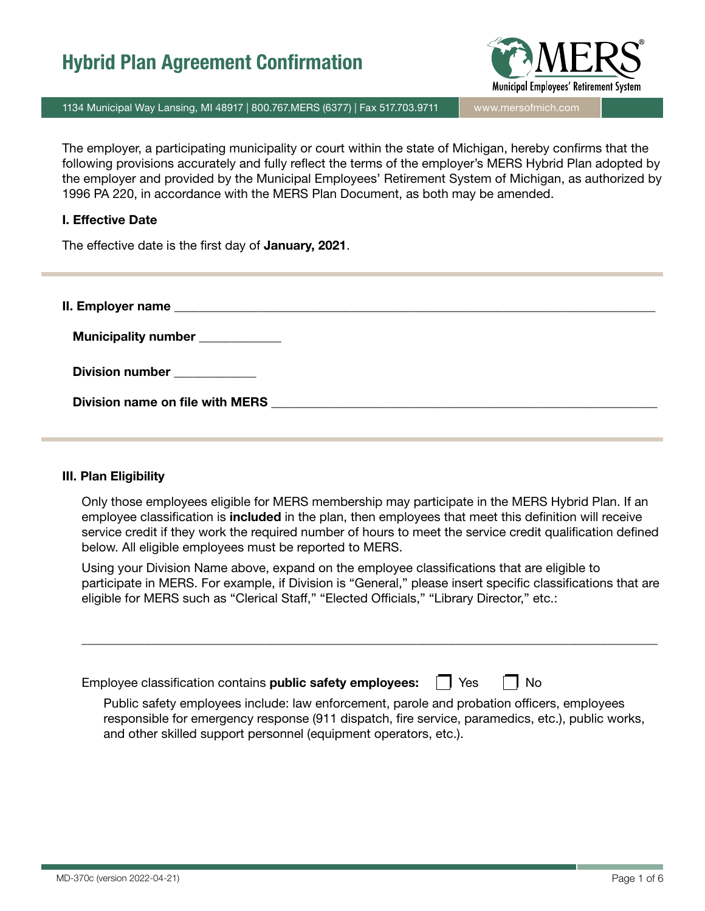

1134 Municipal Way Lansing, MI 48917 | 800.767.MERS (6377) | Fax 517.703.9711 | www.mersofmich.com

The employer, a participating municipality or court within the state of Michigan, hereby confirms that the following provisions accurately and fully reflect the terms of the employer's MERS Hybrid Plan adopted by the employer and provided by the Municipal Employees' Retirement System of Michigan, as authorized by 1996 PA 220, in accordance with the MERS Plan Document, as both may be amended.

#### I. Effective Date

The effective date is the first day of January, 2021.

| Municipality number ___________                                                 |
|---------------------------------------------------------------------------------|
| Division number ____________                                                    |
| Division name on file with MERS <b>Example 20</b> No. 2014 19:30 No. 2014 19:30 |

#### III. Plan Eligibility

Only those employees eligible for MERS membership may participate in the MERS Hybrid Plan. If an employee classification is **included** in the plan, then employees that meet this definition will receive service credit if they work the required number of hours to meet the service credit qualification defined below. All eligible employees must be reported to MERS.

Using your Division Name above, expand on the employee classifications that are eligible to participate in MERS. For example, if Division is "General," please insert specific classifications that are eligible for MERS such as "Clerical Staff," "Elected Officials," "Library Director," etc.:

\_\_\_\_\_\_\_\_\_\_\_\_\_\_\_\_\_\_\_\_\_\_\_\_\_\_\_\_\_\_\_\_\_\_\_\_\_\_\_\_\_\_\_\_\_\_\_\_\_\_\_\_\_\_\_\_\_\_\_\_\_\_\_\_\_\_\_\_\_\_\_\_\_\_\_\_\_\_\_\_\_\_\_\_\_\_\_\_\_\_\_

| Employee classification contains <b>public safety employees:</b><br><b>Yes</b>                                                                                                                                                                                     | l No |
|--------------------------------------------------------------------------------------------------------------------------------------------------------------------------------------------------------------------------------------------------------------------|------|
| Public safety employees include: law enforcement, parole and probation officers, employees<br>responsible for emergency response (911 dispatch, fire service, paramedics, etc.), public works,<br>and other skilled support personnel (equipment operators, etc.). |      |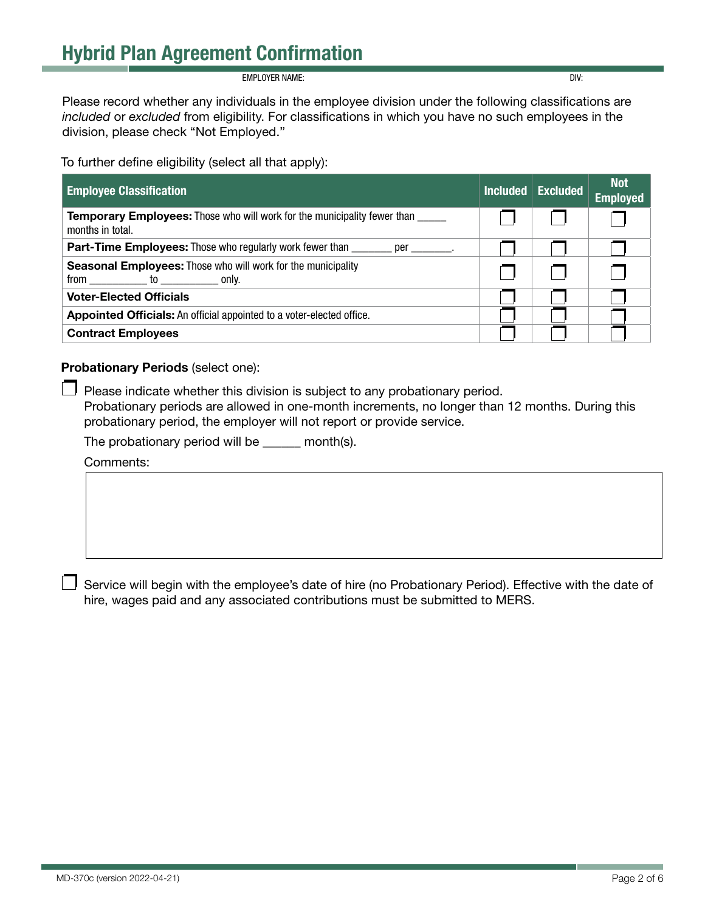**EMPLOYER NAME:** DIV:

Please record whether any individuals in the employee division under the following classifications are *included* or *excluded* from eligibility. For classifications in which you have no such employees in the division, please check "Not Employed."

To further define eligibility (select all that apply):

| <b>Employee Classification</b>                                                                            | <b>Included</b> | <b>Excluded</b> | <b>Not</b><br><b>Employed</b> |
|-----------------------------------------------------------------------------------------------------------|-----------------|-----------------|-------------------------------|
| <b>Temporary Employees:</b> Those who will work for the municipality fewer than _____<br>months in total. |                 |                 |                               |
| <b>Part-Time Employees:</b> Those who regularly work fewer than _______ per _______                       |                 |                 |                               |
| <b>Seasonal Employees:</b> Those who will work for the municipality                                       |                 |                 |                               |
| <b>Voter-Elected Officials</b>                                                                            |                 |                 |                               |
| Appointed Officials: An official appointed to a voter-elected office.                                     |                 |                 |                               |
| <b>Contract Employees</b>                                                                                 |                 |                 |                               |

Probationary Periods (select one):

Please indicate whether this division is subject to any probationary period. Probationary periods are allowed in one-month increments, no longer than 12 months. During this probationary period, the employer will not report or provide service.

The probationary period will be \_\_\_\_\_\_ month(s).

Comments:

Service will begin with the employee's date of hire (no Probationary Period). Effective with the date of hire, wages paid and any associated contributions must be submitted to MERS.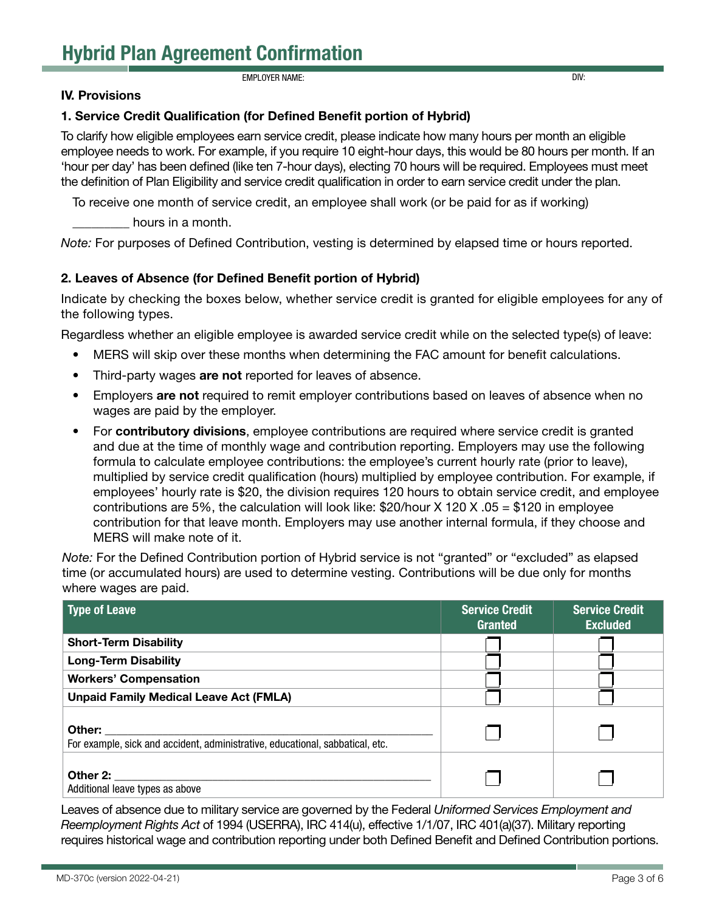EMPLOYER NAME: DIV:

#### IV. Provisions

#### 1. Service Credit Qualification (for Defined Benefit portion of Hybrid)

To clarify how eligible employees earn service credit, please indicate how many hours per month an eligible employee needs to work. For example, if you require 10 eight-hour days, this would be 80 hours per month. If an 'hour per day' has been defined (like ten 7-hour days), electing 70 hours will be required. Employees must meet the definition of Plan Eligibility and service credit qualification in order to earn service credit under the plan.

To receive one month of service credit, an employee shall work (or be paid for as if working)

hours in a month.

*Note:* For purposes of Defined Contribution, vesting is determined by elapsed time or hours reported.

#### 2. Leaves of Absence (for Defined Benefit portion of Hybrid)

Indicate by checking the boxes below, whether service credit is granted for eligible employees for any of the following types.

Regardless whether an eligible employee is awarded service credit while on the selected type(s) of leave:

- MERS will skip over these months when determining the FAC amount for benefit calculations.
- Third-party wages are not reported for leaves of absence.
- Employers are not required to remit employer contributions based on leaves of absence when no wages are paid by the employer.
- For contributory divisions, employee contributions are required where service credit is granted and due at the time of monthly wage and contribution reporting. Employers may use the following formula to calculate employee contributions: the employee's current hourly rate (prior to leave), multiplied by service credit qualification (hours) multiplied by employee contribution. For example, if employees' hourly rate is \$20, the division requires 120 hours to obtain service credit, and employee contributions are 5%, the calculation will look like: \$20/hour X 120 X .05 = \$120 in employee contribution for that leave month. Employers may use another internal formula, if they choose and MERS will make note of it.

*Note:* For the Defined Contribution portion of Hybrid service is not "granted" or "excluded" as elapsed time (or accumulated hours) are used to determine vesting. Contributions will be due only for months where wages are paid.

| <b>Type of Leave</b>                                                                    | <b>Service Credit</b><br><b>Granted</b> | Service Credit<br><b>Excluded</b> |
|-----------------------------------------------------------------------------------------|-----------------------------------------|-----------------------------------|
| <b>Short-Term Disability</b>                                                            |                                         |                                   |
| <b>Long-Term Disability</b>                                                             |                                         |                                   |
| <b>Workers' Compensation</b>                                                            |                                         |                                   |
| <b>Unpaid Family Medical Leave Act (FMLA)</b>                                           |                                         |                                   |
| Other:<br>For example, sick and accident, administrative, educational, sabbatical, etc. |                                         |                                   |
| Other 2:<br>Additional leave types as above                                             |                                         |                                   |

Leaves of absence due to military service are governed by the Federal *Uniformed Services Employment and Reemployment Rights Act* of 1994 (USERRA), IRC 414(u), effective 1/1/07, IRC 401(a)(37). Military reporting requires historical wage and contribution reporting under both Defined Benefit and Defined Contribution portions.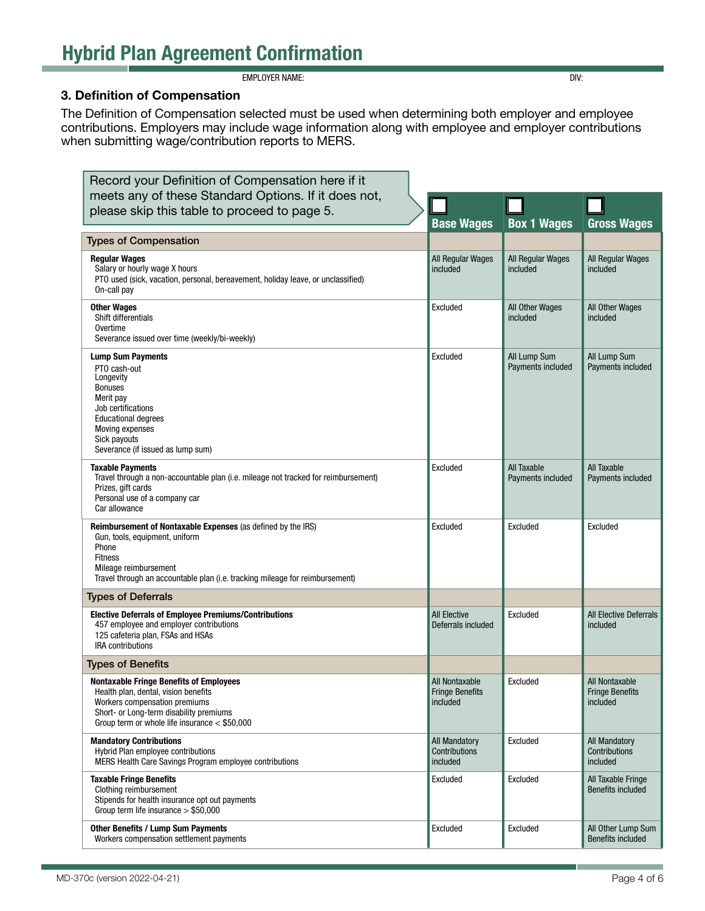EMPLOYER NAME: DIV:

#### 3. Definition of Compensation

The Definition of Compensation selected must be used when determining both employer and employee contributions. Employers may include wage information along with employee and employer contributions when submitting wage/contribution reports to MERS.

| Record your Definition of Compensation here if it                                                                                                                                                                                  |                                                      |                                   |                                                      |
|------------------------------------------------------------------------------------------------------------------------------------------------------------------------------------------------------------------------------------|------------------------------------------------------|-----------------------------------|------------------------------------------------------|
| meets any of these Standard Options. If it does not,                                                                                                                                                                               |                                                      |                                   |                                                      |
| please skip this table to proceed to page 5.                                                                                                                                                                                       | <b>Base Wages</b>                                    | <b>Box 1 Wages</b>                | <b>Gross Wages</b>                                   |
| <b>Types of Compensation</b>                                                                                                                                                                                                       |                                                      |                                   |                                                      |
| <b>Regular Wages</b><br>Salary or hourly wage X hours<br>PTO used (sick, vacation, personal, bereavement, holiday leave, or unclassified)<br>On-call pay                                                                           | All Regular Wages<br>included                        | All Regular Wages<br>included     | All Regular Wages<br>included                        |
| <b>Other Wages</b><br>Shift differentials<br>Overtime<br>Severance issued over time (weekly/bi-weekly)                                                                                                                             | Excluded                                             | All Other Wages<br>included       | All Other Wages<br>included                          |
| <b>Lump Sum Payments</b><br>PTO cash-out<br>Longevity<br><b>Bonuses</b><br>Merit pay<br>Job certifications<br><b>Educational degrees</b><br>Moving expenses<br>Sick payouts<br>Severance (if issued as lump sum)                   | Excluded                                             | All Lump Sum<br>Payments included | All Lump Sum<br>Payments included                    |
| <b>Taxable Payments</b><br>Travel through a non-accountable plan (i.e. mileage not tracked for reimbursement)<br>Prizes, gift cards<br>Personal use of a company car<br>Car allowance                                              | Excluded                                             | All Taxable<br>Payments included  | All Taxable<br>Payments included                     |
| Reimbursement of Nontaxable Expenses (as defined by the IRS)<br>Gun, tools, equipment, uniform<br>Phone<br><b>Fitness</b><br>Mileage reimbursement<br>Travel through an accountable plan (i.e. tracking mileage for reimbursement) | Excluded                                             | Excluded                          | Excluded                                             |
| <b>Types of Deferrals</b>                                                                                                                                                                                                          |                                                      |                                   |                                                      |
| <b>Elective Deferrals of Employee Premiums/Contributions</b><br>457 employee and employer contributions<br>125 cafeteria plan, FSAs and HSAs<br><b>IRA</b> contributions                                                           | <b>All Elective</b><br>Deferrals included            | Excluded                          | All Elective Deferrals<br>included                   |
| <b>Types of Benefits</b>                                                                                                                                                                                                           |                                                      |                                   |                                                      |
| <b>Nontaxable Fringe Benefits of Employees</b><br>Health plan, dental, vision benefits<br>Workers compensation premiums<br>Short- or Long-term disability premiums<br>Group term or whole life insurance < \$50,000                | All Nontaxable<br><b>Fringe Benefits</b><br>included | Excluded                          | All Nontaxable<br><b>Fringe Benefits</b><br>included |
| <b>Mandatory Contributions</b><br>Hybrid Plan employee contributions<br>MERS Health Care Savings Program employee contributions                                                                                                    | <b>All Mandatory</b><br>Contributions<br>included    | Excluded                          | All Mandatory<br><b>Contributions</b><br>included    |
| <b>Taxable Fringe Benefits</b><br>Clothing reimbursement<br>Stipends for health insurance opt out payments<br>Group term life insurance $> $50,000$                                                                                | Excluded                                             | Excluded                          | All Taxable Fringe<br><b>Benefits included</b>       |
| <b>Other Benefits / Lump Sum Payments</b><br>Workers compensation settlement payments                                                                                                                                              | Excluded                                             | Excluded                          | All Other Lump Sum<br><b>Benefits included</b>       |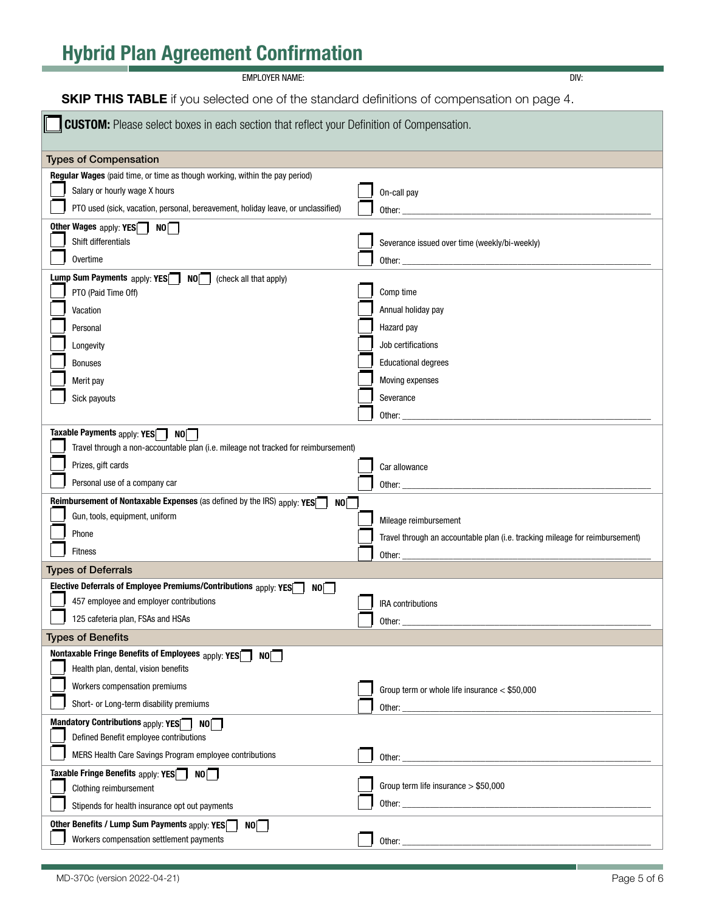| <b>SKIP THIS TABLE</b> if you selected one of the standard definitions of compensation on page 4.                                                                                                |                                                                              |  |  |
|--------------------------------------------------------------------------------------------------------------------------------------------------------------------------------------------------|------------------------------------------------------------------------------|--|--|
| <b>CUSTOM:</b> Please select boxes in each section that reflect your Definition of Compensation.                                                                                                 |                                                                              |  |  |
| <b>Types of Compensation</b>                                                                                                                                                                     |                                                                              |  |  |
| Regular Wages (paid time, or time as though working, within the pay period)<br>Salary or hourly wage X hours<br>PTO used (sick, vacation, personal, bereavement, holiday leave, or unclassified) | On-call pay<br>Other:                                                        |  |  |
| Other Wages apply: $YES$ NO<br>Shift differentials<br>Overtime                                                                                                                                   | Severance issued over time (weekly/bi-weekly)                                |  |  |
|                                                                                                                                                                                                  |                                                                              |  |  |
| <b>Lump Sum Payments</b> $apply: YES$<br>NO<br>(check all that apply)<br>PTO (Paid Time Off)<br>Vacation                                                                                         | Comp time<br>Annual holiday pay                                              |  |  |
| Personal<br>Longevity                                                                                                                                                                            | Hazard pay<br>Job certifications                                             |  |  |
| <b>Bonuses</b>                                                                                                                                                                                   | <b>Educational degrees</b>                                                   |  |  |
| Merit pay                                                                                                                                                                                        | Moving expenses                                                              |  |  |
| Sick payouts                                                                                                                                                                                     | Severance                                                                    |  |  |
|                                                                                                                                                                                                  | Other: $\_$                                                                  |  |  |
| Taxable Payments $_{\text{apply}:}$ YES $\Box$ NO $\Box$<br>Travel through a non-accountable plan (i.e. mileage not tracked for reimbursement)                                                   |                                                                              |  |  |
| Prizes, gift cards                                                                                                                                                                               | Car allowance                                                                |  |  |
| Personal use of a company car                                                                                                                                                                    | Other: $\_$                                                                  |  |  |
| Reimbursement of Nontaxable Expenses (as defined by the IRS) apply: YES<br>NO                                                                                                                    |                                                                              |  |  |
| Gun, tools, equipment, uniform                                                                                                                                                                   | Mileage reimbursement                                                        |  |  |
| Phone                                                                                                                                                                                            | Travel through an accountable plan (i.e. tracking mileage for reimbursement) |  |  |
| <b>Fitness</b>                                                                                                                                                                                   | Other:                                                                       |  |  |
| <b>Types of Deferrals</b>                                                                                                                                                                        |                                                                              |  |  |
| Elective Deferrals of Employee Premiums/Contributions apply: YES<br>$\overline{N0}$  <br>457 employee and employer contributions                                                                 |                                                                              |  |  |
| 125 cafeteria plan, FSAs and HSAs                                                                                                                                                                | <b>IRA</b> contributions<br>Other:                                           |  |  |
| <b>Types of Benefits</b>                                                                                                                                                                         |                                                                              |  |  |
| Nontaxable Fringe Benefits of Employees apply: YES<br>NO<br>Health plan, dental, vision benefits                                                                                                 |                                                                              |  |  |
| Workers compensation premiums                                                                                                                                                                    | Group term or whole life insurance < \$50,000                                |  |  |
| Short- or Long-term disability premiums                                                                                                                                                          |                                                                              |  |  |
| Mandatory Contributions apply: YES<br>NO<br>Defined Benefit employee contributions                                                                                                               |                                                                              |  |  |
| MERS Health Care Savings Program employee contributions                                                                                                                                          |                                                                              |  |  |
| Taxable Fringe Benefits apply: YES <sup>T</sup> NO<br>Clothing reimbursement                                                                                                                     | Group term life insurance $> $50,000$                                        |  |  |
| Stipends for health insurance opt out payments                                                                                                                                                   |                                                                              |  |  |
| Other Benefits / Lump Sum Payments apply: YES<br>NO<br>Workers compensation settlement payments                                                                                                  | Other:                                                                       |  |  |

EMPLOYER NAME: DIV: